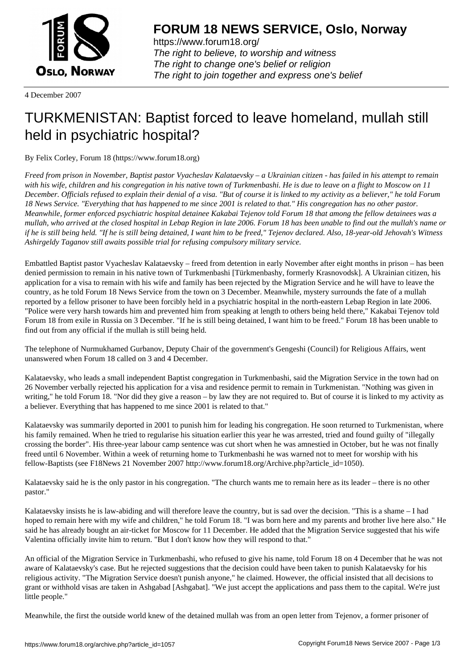

https://www.forum18.org/ The right to believe, to worship and witness The right to change one's belief or religion [The right to join together a](https://www.forum18.org/)nd express one's belief

4 December 2007

## [TURKMENISTA](https://www.forum18.org)N: Baptist forced to leave homeland, mullah still held in psychiatric hospital?

By Felix Corley, Forum 18 (https://www.forum18.org)

*Freed from prison in November, Baptist pastor Vyacheslav Kalataevsky – a Ukrainian citizen - has failed in his attempt to remain with his wife, children and his congregation in his native town of Turkmenbashi. He is due to leave on a flight to Moscow on 11 December. Officials refused to explain their denial of a visa. "But of course it is linked to my activity as a believer," he told Forum 18 News Service. "Everything that has happened to me since 2001 is related to that." His congregation has no other pastor. Meanwhile, former enforced psychiatric hospital detainee Kakabai Tejenov told Forum 18 that among the fellow detainees was a mullah, who arrived at the closed hospital in Lebap Region in late 2006. Forum 18 has been unable to find out the mullah's name or if he is still being held. "If he is still being detained, I want him to be freed," Tejenov declared. Also, 18-year-old Jehovah's Witness Ashirgeldy Taganov still awaits possible trial for refusing compulsory military service.*

Embattled Baptist pastor Vyacheslav Kalataevsky – freed from detention in early November after eight months in prison – has been denied permission to remain in his native town of Turkmenbashi [Türkmenbashy, formerly Krasnovodsk]. A Ukrainian citizen, his application for a visa to remain with his wife and family has been rejected by the Migration Service and he will have to leave the country, as he told Forum 18 News Service from the town on 3 December. Meanwhile, mystery surrounds the fate of a mullah reported by a fellow prisoner to have been forcibly held in a psychiatric hospital in the north-eastern Lebap Region in late 2006. "Police were very harsh towards him and prevented him from speaking at length to others being held there," Kakabai Tejenov told Forum 18 from exile in Russia on 3 December. "If he is still being detained, I want him to be freed." Forum 18 has been unable to find out from any official if the mullah is still being held.

The telephone of Nurmukhamed Gurbanov, Deputy Chair of the government's Gengeshi (Council) for Religious Affairs, went unanswered when Forum 18 called on 3 and 4 December.

Kalataevsky, who leads a small independent Baptist congregation in Turkmenbashi, said the Migration Service in the town had on 26 November verbally rejected his application for a visa and residence permit to remain in Turkmenistan. "Nothing was given in writing," he told Forum 18. "Nor did they give a reason – by law they are not required to. But of course it is linked to my activity as a believer. Everything that has happened to me since 2001 is related to that."

Kalataevsky was summarily deported in 2001 to punish him for leading his congregation. He soon returned to Turkmenistan, where his family remained. When he tried to regularise his situation earlier this year he was arrested, tried and found guilty of "illegally crossing the border". His three-year labour camp sentence was cut short when he was amnestied in October, but he was not finally freed until 6 November. Within a week of returning home to Turkmenbashi he was warned not to meet for worship with his fellow-Baptists (see F18News 21 November 2007 http://www.forum18.org/Archive.php?article\_id=1050).

Kalataevsky said he is the only pastor in his congregation. "The church wants me to remain here as its leader – there is no other pastor."

Kalataevsky insists he is law-abiding and will therefore leave the country, but is sad over the decision. "This is a shame – I had hoped to remain here with my wife and children," he told Forum 18. "I was born here and my parents and brother live here also." He said he has already bought an air-ticket for Moscow for 11 December. He added that the Migration Service suggested that his wife Valentina officially invite him to return. "But I don't know how they will respond to that."

An official of the Migration Service in Turkmenbashi, who refused to give his name, told Forum 18 on 4 December that he was not aware of Kalataevsky's case. But he rejected suggestions that the decision could have been taken to punish Kalataevsky for his religious activity. "The Migration Service doesn't punish anyone," he claimed. However, the official insisted that all decisions to grant or withhold visas are taken in Ashgabad [Ashgabat]. "We just accept the applications and pass them to the capital. We're just little people."

Meanwhile, the first the outside world knew of the detained mullah was from an open letter from Tejenov, a former prisoner of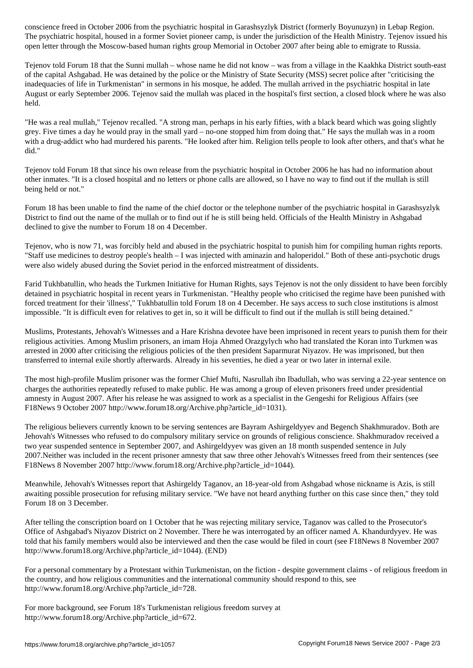The psychiatric hospital, housed in a former Soviet pioneer camp, is under the jurisdiction of the Health Ministry. Tejenov issued his open letter through the Moscow-based human rights group Memorial in October 2007 after being able to emigrate to Russia.

Tejenov told Forum 18 that the Sunni mullah – whose name he did not know – was from a village in the Kaakhka District south-east of the capital Ashgabad. He was detained by the police or the Ministry of State Security (MSS) secret police after "criticising the inadequacies of life in Turkmenistan" in sermons in his mosque, he added. The mullah arrived in the psychiatric hospital in late August or early September 2006. Tejenov said the mullah was placed in the hospital's first section, a closed block where he was also held.

"He was a real mullah," Tejenov recalled. "A strong man, perhaps in his early fifties, with a black beard which was going slightly grey. Five times a day he would pray in the small yard – no-one stopped him from doing that." He says the mullah was in a room with a drug-addict who had murdered his parents. "He looked after him. Religion tells people to look after others, and that's what he did."

Tejenov told Forum 18 that since his own release from the psychiatric hospital in October 2006 he has had no information about other inmates. "It is a closed hospital and no letters or phone calls are allowed, so I have no way to find out if the mullah is still being held or not."

Forum 18 has been unable to find the name of the chief doctor or the telephone number of the psychiatric hospital in Garashsyzlyk District to find out the name of the mullah or to find out if he is still being held. Officials of the Health Ministry in Ashgabad declined to give the number to Forum 18 on 4 December.

Tejenov, who is now 71, was forcibly held and abused in the psychiatric hospital to punish him for compiling human rights reports. "Staff use medicines to destroy people's health – I was injected with aminazin and haloperidol." Both of these anti-psychotic drugs were also widely abused during the Soviet period in the enforced mistreatment of dissidents.

Farid Tukhbatullin, who heads the Turkmen Initiative for Human Rights, says Tejenov is not the only dissident to have been forcibly detained in psychiatric hospital in recent years in Turkmenistan. "Healthy people who criticised the regime have been punished with forced treatment for their 'illness'," Tukhbatullin told Forum 18 on 4 December. He says access to such close institutions is almost impossible. "It is difficult even for relatives to get in, so it will be difficult to find out if the mullah is still being detained."

Muslims, Protestants, Jehovah's Witnesses and a Hare Krishna devotee have been imprisoned in recent years to punish them for their religious activities. Among Muslim prisoners, an imam Hoja Ahmed Orazgylych who had translated the Koran into Turkmen was arrested in 2000 after criticising the religious policies of the then president Saparmurat Niyazov. He was imprisoned, but then transferred to internal exile shortly afterwards. Already in his seventies, he died a year or two later in internal exile.

The most high-profile Muslim prisoner was the former Chief Mufti, Nasrullah ibn Ibadullah, who was serving a 22-year sentence on charges the authorities repeatedly refused to make public. He was among a group of eleven prisoners freed under presidential amnesty in August 2007. After his release he was assigned to work as a specialist in the Gengeshi for Religious Affairs (see F18News 9 October 2007 http://www.forum18.org/Archive.php?article\_id=1031).

The religious believers currently known to be serving sentences are Bayram Ashirgeldyyev and Begench Shakhmuradov. Both are Jehovah's Witnesses who refused to do compulsory military service on grounds of religious conscience. Shakhmuradov received a two year suspended sentence in September 2007, and Ashirgeldyyev was given an 18 month suspended sentence in July 2007.Neither was included in the recent prisoner amnesty that saw three other Jehovah's Witnesses freed from their sentences (see F18News 8 November 2007 http://www.forum18.org/Archive.php?article\_id=1044).

Meanwhile, Jehovah's Witnesses report that Ashirgeldy Taganov, an 18-year-old from Ashgabad whose nickname is Azis, is still awaiting possible prosecution for refusing military service. "We have not heard anything further on this case since then," they told Forum 18 on 3 December.

After telling the conscription board on 1 October that he was rejecting military service, Taganov was called to the Prosecutor's Office of Ashgabad's Niyazov District on 2 November. There he was interrogated by an officer named A. Khandurdyyev. He was told that his family members would also be interviewed and then the case would be filed in court (see F18News 8 November 2007 http://www.forum18.org/Archive.php?article\_id=1044). (END)

For a personal commentary by a Protestant within Turkmenistan, on the fiction - despite government claims - of religious freedom in the country, and how religious communities and the international community should respond to this, see http://www.forum18.org/Archive.php?article\_id=728.

For more background, see Forum 18's Turkmenistan religious freedom survey at http://www.forum18.org/Archive.php?article\_id=672.